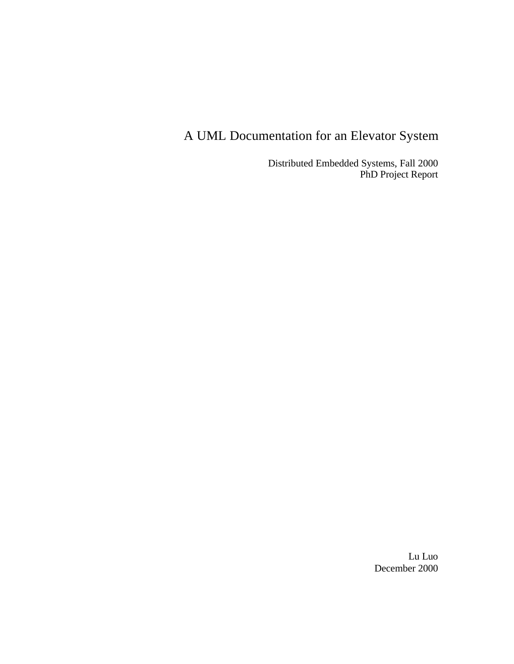# A UML Documentation for an Elevator System

Distributed Embedded Systems, Fall 2000 PhD Project Report

> Lu Luo December 2000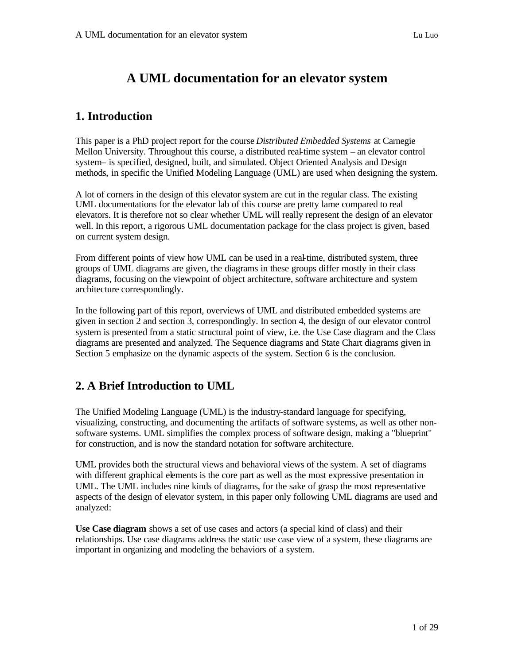## **A UML documentation for an elevator system**

## **1. Introduction**

This paper is a PhD project report for the course *Distributed Embedded Systems* at Carnegie Mellon University. Throughout this course, a distributed real-time system – an elevator control system– is specified, designed, built, and simulated. Object Oriented Analysis and Design methods, in specific the Unified Modeling Language (UML) are used when designing the system.

A lot of corners in the design of this elevator system are cut in the regular class. The existing UML documentations for the elevator lab of this course are pretty lame compared to real elevators. It is therefore not so clear whether UML will really represent the design of an elevator well. In this report, a rigorous UML documentation package for the class project is given, based on current system design.

From different points of view how UML can be used in a real-time, distributed system, three groups of UML diagrams are given, the diagrams in these groups differ mostly in their class diagrams, focusing on the viewpoint of object architecture, software architecture and system architecture correspondingly.

In the following part of this report, overviews of UML and distributed embedded systems are given in section 2 and section 3, correspondingly. In section 4, the design of our elevator control system is presented from a static structural point of view, i.e. the Use Case diagram and the Class diagrams are presented and analyzed. The Sequence diagrams and State Chart diagrams given in Section 5 emphasize on the dynamic aspects of the system. Section 6 is the conclusion.

## **2. A Brief Introduction to UML**

The Unified Modeling Language (UML) is the industry-standard language for specifying, visualizing, constructing, and documenting the artifacts of software systems, as well as other nonsoftware systems. UML simplifies the complex process of software design, making a "blueprint" for construction, and is now the standard notation for software architecture.

UML provides both the structural views and behavioral views of the system. A set of diagrams with different graphical elements is the core part as well as the most expressive presentation in UML. The UML includes nine kinds of diagrams, for the sake of grasp the most representative aspects of the design of elevator system, in this paper only following UML diagrams are used and analyzed:

**Use Case diagram** shows a set of use cases and actors (a special kind of class) and their relationships. Use case diagrams address the static use case view of a system, these diagrams are important in organizing and modeling the behaviors of a system.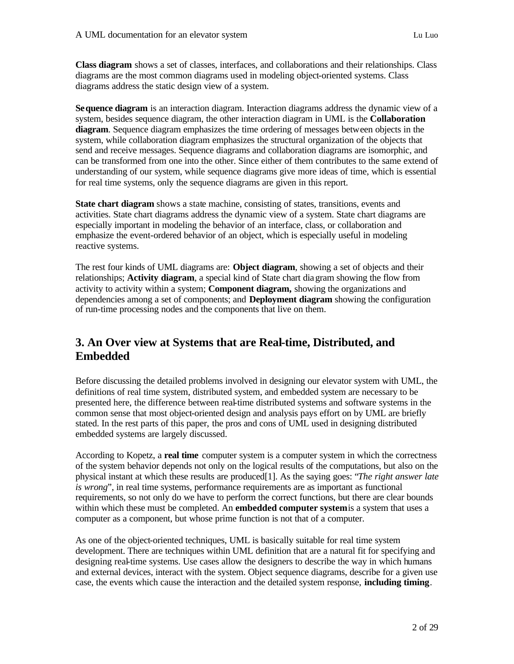**Class diagram** shows a set of classes, interfaces, and collaborations and their relationships. Class diagrams are the most common diagrams used in modeling object-oriented systems. Class diagrams address the static design view of a system.

**Sequence diagram** is an interaction diagram. Interaction diagrams address the dynamic view of a system, besides sequence diagram, the other interaction diagram in UML is the **Collaboration diagram**. Sequence diagram emphasizes the time ordering of messages between objects in the system, while collaboration diagram emphasizes the structural organization of the objects that send and receive messages. Sequence diagrams and collaboration diagrams are isomorphic, and can be transformed from one into the other. Since either of them contributes to the same extend of understanding of our system, while sequence diagrams give more ideas of time, which is essential for real time systems, only the sequence diagrams are given in this report.

**State chart diagram** shows a state machine, consisting of states, transitions, events and activities. State chart diagrams address the dynamic view of a system. State chart diagrams are especially important in modeling the behavior of an interface, class, or collaboration and emphasize the event-ordered behavior of an object, which is especially useful in modeling reactive systems.

The rest four kinds of UML diagrams are: **Object diagram**, showing a set of objects and their relationships; **Activity diagram**, a special kind of State chart diagram showing the flow from activity to activity within a system; **Component diagram,** showing the organizations and dependencies among a set of components; and **Deployment diagram** showing the configuration of run-time processing nodes and the components that live on them.

## **3. An Over view at Systems that are Real-time, Distributed, and Embedded**

Before discussing the detailed problems involved in designing our elevator system with UML, the definitions of real time system, distributed system, and embedded system are necessary to be presented here, the difference between real-time distributed systems and software systems in the common sense that most object-oriented design and analysis pays effort on by UML are briefly stated. In the rest parts of this paper, the pros and cons of UML used in designing distributed embedded systems are largely discussed.

According to Kopetz, a **real time** computer system is a computer system in which the correctness of the system behavior depends not only on the logical results of the computations, but also on the physical instant at which these results are produced[1]. As the saying goes: "*The right answer late is wrong*", in real time systems, performance requirements are as important as functional requirements, so not only do we have to perform the correct functions, but there are clear bounds within which these must be completed. An **embedded computer system** is a system that uses a computer as a component, but whose prime function is not that of a computer.

As one of the object-oriented techniques, UML is basically suitable for real time system development. There are techniques within UML definition that are a natural fit for specifying and designing real-time systems. Use cases allow the designers to describe the way in which humans and external devices, interact with the system. Object sequence diagrams, describe for a given use case, the events which cause the interaction and the detailed system response, **including timing**.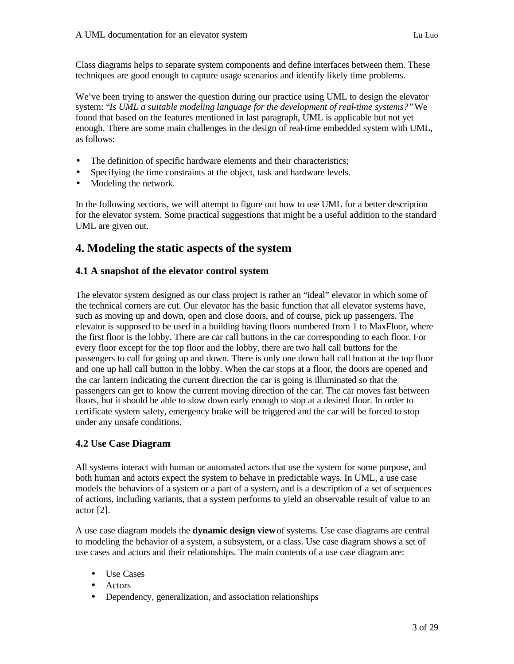Class diagrams helps to separate system components and define interfaces between them. These techniques are good enough to capture usage scenarios and identify likely time problems.

We've been trying to answer the question during our practice using UML to design the elevator system: "*Is UML a suitable modeling language for the development of real-time systems?"* We found that based on the features mentioned in last paragraph, UML is applicable but not yet enough. There are some main challenges in the design of real-time embedded system with UML, as follows:

- The definition of specific hardware elements and their characteristics;
- Specifying the time constraints at the object, task and hardware levels.
- Modeling the network.

In the following sections, we will attempt to figure out how to use UML for a better description for the elevator system. Some practical suggestions that might be a useful addition to the standard UML are given out.

## **4. Modeling the static aspects of the system**

## **4.1 A snapshot of the elevator control system**

The elevator system designed as our class project is rather an "ideal" elevator in which some of the technical corners are cut. Our elevator has the basic function that all elevator systems have, such as moving up and down, open and close doors, and of course, pick up passengers. The elevator is supposed to be used in a building having floors numbered from 1 to MaxFloor, where the first floor is the lobby. There are car call buttons in the car corresponding to each floor. For every floor except for the top floor and the lobby, there are two hall call buttons for the passengers to call for going up and down. There is only one down hall call button at the top floor and one up hall call button in the lobby. When the car stops at a floor, the doors are opened and the car lantern indicating the current direction the car is going is illuminated so that the passengers can get to know the current moving direction of the car. The car moves fast between floors, but it should be able to slow down early enough to stop at a desired floor. In order to certificate system safety, emergency brake will be triggered and the car will be forced to stop under any unsafe conditions.

## **4.2 Use Case Diagram**

All systems interact with human or automated actors that use the system for some purpose, and both human and actors expect the system to behave in predictable ways. In UML, a use case models the behaviors of a system or a part of a system, and is a description of a set of sequences of actions, including variants, that a system performs to yield an observable result of value to an actor  $[2]$ .

A use case diagram models the **dynamic design view** of systems. Use case diagrams are central to modeling the behavior of a system, a subsystem, or a class. Use case diagram shows a set of use cases and actors and their relationships. The main contents of a use case diagram are:

- Use Cases
- Actors
- Dependency, generalization, and association relationships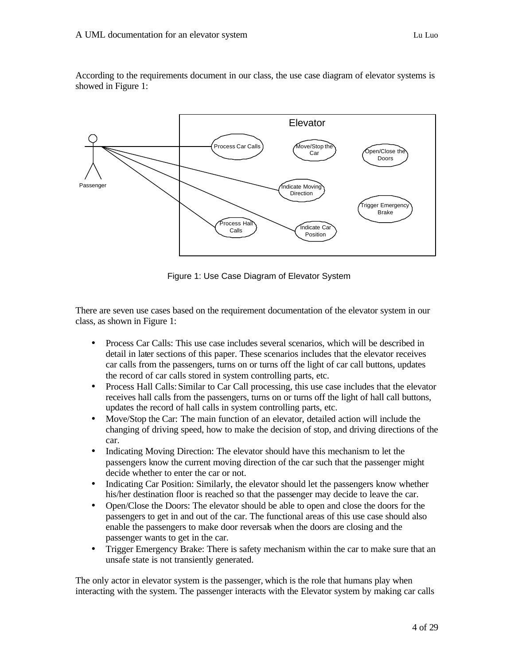According to the requirements document in our class, the use case diagram of elevator systems is showed in Figure 1:



Figure 1: Use Case Diagram of Elevator System

There are seven use cases based on the requirement documentation of the elevator system in our class, as shown in Figure 1:

- Process Car Calls: This use case includes several scenarios, which will be described in detail in later sections of this paper. These scenarios includes that the elevator receives car calls from the passengers, turns on or turns off the light of car call buttons, updates the record of car calls stored in system controlling parts, etc.
- Process Hall Calls: Similar to Car Call processing, this use case includes that the elevator receives hall calls from the passengers, turns on or turns off the light of hall call buttons, updates the record of hall calls in system controlling parts, etc.
- Move/Stop the Car: The main function of an elevator, detailed action will include the changing of driving speed, how to make the decision of stop, and driving directions of the car.
- Indicating Moving Direction: The elevator should have this mechanism to let the passengers know the current moving direction of the car such that the passenger might decide whether to enter the car or not.
- Indicating Car Position: Similarly, the elevator should let the passengers know whether his/her destination floor is reached so that the passenger may decide to leave the car.
- Open/Close the Doors: The elevator should be able to open and close the doors for the passengers to get in and out of the car. The functional areas of this use case should also enable the passengers to make door reversals when the doors are closing and the passenger wants to get in the car.
- Trigger Emergency Brake: There is safety mechanism within the car to make sure that an unsafe state is not transiently generated.

The only actor in elevator system is the passenger, which is the role that humans play when interacting with the system. The passenger interacts with the Elevator system by making car calls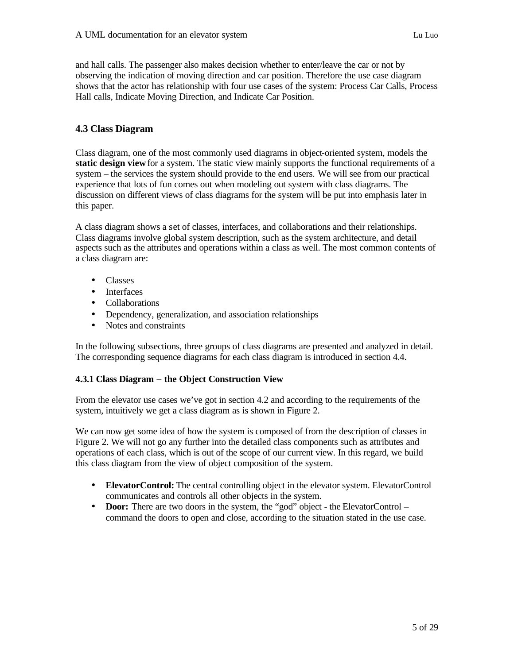and hall calls. The passenger also makes decision whether to enter/leave the car or not by observing the indication of moving direction and car position. Therefore the use case diagram shows that the actor has relationship with four use cases of the system: Process Car Calls, Process Hall calls, Indicate Moving Direction, and Indicate Car Position.

## **4.3 Class Diagram**

Class diagram, one of the most commonly used diagrams in object-oriented system, models the **static design view** for a system. The static view mainly supports the functional requirements of a system – the services the system should provide to the end users. We will see from our practical experience that lots of fun comes out when modeling out system with class diagrams. The discussion on different views of class diagrams for the system will be put into emphasis later in this paper.

A class diagram shows a set of classes, interfaces, and collaborations and their relationships. Class diagrams involve global system description, such as the system architecture, and detail aspects such as the attributes and operations within a class as well. The most common contents of a class diagram are:

- Classes
- Interfaces
- Collaborations
- Dependency, generalization, and association relationships
- Notes and constraints

In the following subsections, three groups of class diagrams are presented and analyzed in detail. The corresponding sequence diagrams for each class diagram is introduced in section 4.4.

## **4.3.1 Class Diagram – the Object Construction View**

From the elevator use cases we've got in section 4.2 and according to the requirements of the system, intuitively we get a class diagram as is shown in Figure 2.

We can now get some idea of how the system is composed of from the description of classes in Figure 2. We will not go any further into the detailed class components such as attributes and operations of each class, which is out of the scope of our current view. In this regard, we build this class diagram from the view of object composition of the system.

- **ElevatorControl:** The central controlling object in the elevator system. ElevatorControl communicates and controls all other objects in the system.
- **Door:** There are two doors in the system, the "god" object the ElevatorControl command the doors to open and close, according to the situation stated in the use case.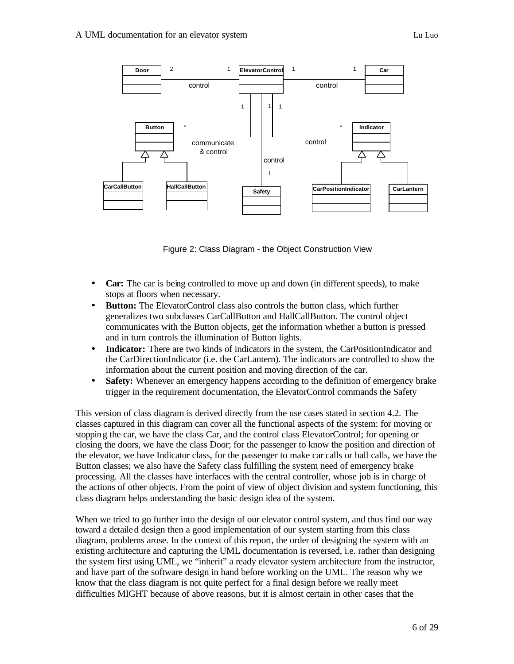

Figure 2: Class Diagram - the Object Construction View

- **Car:** The car is being controlled to move up and down (in different speeds), to make stops at floors when necessary.
- **Button:** The ElevatorControl class also controls the button class, which further generalizes two subclasses CarCallButton and HallCallButton. The control object communicates with the Button objects, get the information whether a button is pressed and in turn controls the illumination of Button lights.
- **Indicator:** There are two kinds of indicators in the system, the CarPositionIndicator and the CarDirectionIndicator (i.e. the CarLantern). The indicators are controlled to show the information about the current position and moving direction of the car.
- **Safety:** Whenever an emergency happens according to the definition of emergency brake trigger in the requirement documentation, the ElevatorControl commands the Safety

This version of class diagram is derived directly from the use cases stated in section 4.2. The classes captured in this diagram can cover all the functional aspects of the system: for moving or stopping the car, we have the class Car, and the control class ElevatorControl; for opening or closing the doors, we have the class Door; for the passenger to know the position and direction of the elevator, we have Indicator class, for the passenger to make car calls or hall calls, we have the Button classes; we also have the Safety class fulfilling the system need of emergency brake processing. All the classes have interfaces with the central controller, whose job is in charge of the actions of other objects. From the point of view of object division and system functioning, this class diagram helps understanding the basic design idea of the system.

When we tried to go further into the design of our elevator control system, and thus find our way toward a detailed design then a good implementation of our system starting from this class diagram, problems arose. In the context of this report, the order of designing the system with an existing architecture and capturing the UML documentation is reversed, i.e. rather than designing the system first using UML, we "inherit" a ready elevator system architecture from the instructor, and have part of the software design in hand before working on the UML. The reason why we know that the class diagram is not quite perfect for a final design before we really meet difficulties MIGHT because of above reasons, but it is almost certain in other cases that the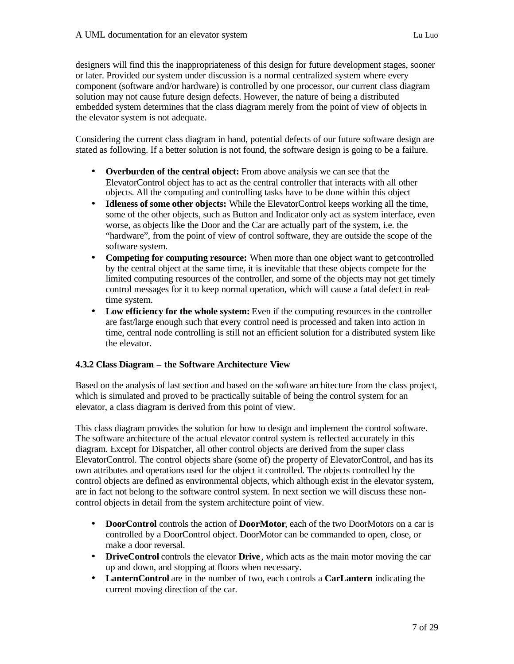designers will find this the inappropriateness of this design for future development stages, sooner or later. Provided our system under discussion is a normal centralized system where every component (software and/or hardware) is controlled by one processor, our current class diagram solution may not cause future design defects. However, the nature of being a distributed embedded system determines that the class diagram merely from the point of view of objects in the elevator system is not adequate.

Considering the current class diagram in hand, potential defects of our future software design are stated as following. If a better solution is not found, the software design is going to be a failure.

- **Overburden of the central object:** From above analysis we can see that the ElevatorControl object has to act as the central controller that interacts with all other objects. All the computing and controlling tasks have to be done within this object
- **Idleness of some other objects:** While the ElevatorControl keeps working all the time, some of the other objects, such as Button and Indicator only act as system interface, even worse, as objects like the Door and the Car are actually part of the system, i.e. the "hardware", from the point of view of control software, they are outside the scope of the software system.
- **Competing for computing resource:** When more than one object want to get controlled by the central object at the same time, it is inevitable that these objects compete for the limited computing resources of the controller, and some of the objects may not get timely control messages for it to keep normal operation, which will cause a fatal defect in realtime system.
- **Low efficiency for the whole system:** Even if the computing resources in the controller are fast/large enough such that every control need is processed and taken into action in time, central node controlling is still not an efficient solution for a distributed system like the elevator.

## **4.3.2 Class Diagram – the Software Architecture View**

Based on the analysis of last section and based on the software architecture from the class project, which is simulated and proved to be practically suitable of being the control system for an elevator, a class diagram is derived from this point of view.

This class diagram provides the solution for how to design and implement the control software. The software architecture of the actual elevator control system is reflected accurately in this diagram. Except for Dispatcher, all other control objects are derived from the super class ElevatorControl. The control objects share (some of) the property of ElevatorControl, and has its own attributes and operations used for the object it controlled. The objects controlled by the control objects are defined as environmental objects, which although exist in the elevator system, are in fact not belong to the software control system. In next section we will discuss these noncontrol objects in detail from the system architecture point of view.

- **DoorControl** controls the action of **DoorMotor**, each of the two DoorMotors on a car is controlled by a DoorControl object. DoorMotor can be commanded to open, close, or make a door reversal.
- **DriveControl** controls the elevator **Drive**, which acts as the main motor moving the car up and down, and stopping at floors when necessary.
- **LanternControl** are in the number of two, each controls a **CarLantern** indicating the current moving direction of the car.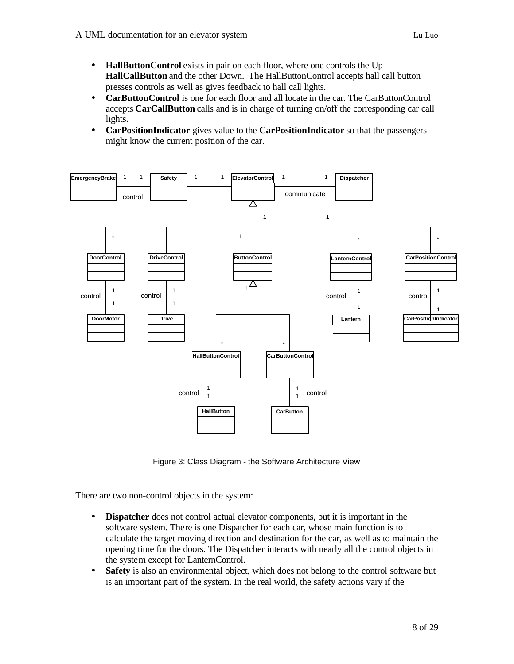- **HallButtonControl** exists in pair on each floor, where one controls the Up **HallCallButton** and the other Down. The HallButtonControl accepts hall call button presses controls as well as gives feedback to hall call lights.
- **CarButtonControl** is one for each floor and all locate in the car. The CarButtonControl accepts **CarCallButton** calls and is in charge of turning on/off the corresponding car call lights.
- **CarPositionIndicator** gives value to the **CarPositionIndicator** so that the passengers might know the current position of the car.



Figure 3: Class Diagram - the Software Architecture View

There are two non-control objects in the system:

- **Dispatcher** does not control actual elevator components, but it is important in the software system. There is one Dispatcher for each car, whose main function is to calculate the target moving direction and destination for the car, as well as to maintain the opening time for the doors. The Dispatcher interacts with nearly all the control objects in the system except for LanternControl.
- **Safety** is also an environmental object, which does not belong to the control software but is an important part of the system. In the real world, the safety actions vary if the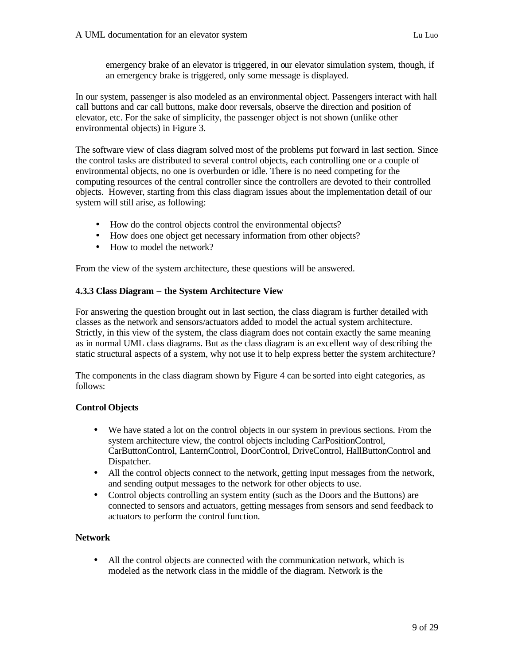emergency brake of an elevator is triggered, in our elevator simulation system, though, if an emergency brake is triggered, only some message is displayed.

In our system, passenger is also modeled as an environmental object. Passengers interact with hall call buttons and car call buttons, make door reversals, observe the direction and position of elevator, etc. For the sake of simplicity, the passenger object is not shown (unlike other environmental objects) in Figure 3.

The software view of class diagram solved most of the problems put forward in last section. Since the control tasks are distributed to several control objects, each controlling one or a couple of environmental objects, no one is overburden or idle. There is no need competing for the computing resources of the central controller since the controllers are devoted to their controlled objects. However, starting from this class diagram issues about the implementation detail of our system will still arise, as following:

- How do the control objects control the environmental objects?
- How does one object get necessary information from other objects?
- How to model the network?

From the view of the system architecture, these questions will be answered.

## **4.3.3 Class Diagram – the System Architecture View**

For answering the question brought out in last section, the class diagram is further detailed with classes as the network and sensors/actuators added to model the actual system architecture. Strictly, in this view of the system, the class diagram does not contain exactly the same meaning as in normal UML class diagrams. But as the class diagram is an excellent way of describing the static structural aspects of a system, why not use it to help express better the system architecture?

The components in the class diagram shown by Figure 4 can be sorted into eight categories, as follows:

## **Control Objects**

- We have stated a lot on the control objects in our system in previous sections. From the system architecture view, the control objects including CarPositionControl, CarButtonControl, LanternControl, DoorControl, DriveControl, HallButtonControl and Dispatcher.
- All the control objects connect to the network, getting input messages from the network, and sending output messages to the network for other objects to use.
- Control objects controlling an system entity (such as the Doors and the Buttons) are connected to sensors and actuators, getting messages from sensors and send feedback to actuators to perform the control function.

## **Network**

• All the control objects are connected with the communication network, which is modeled as the network class in the middle of the diagram. Network is the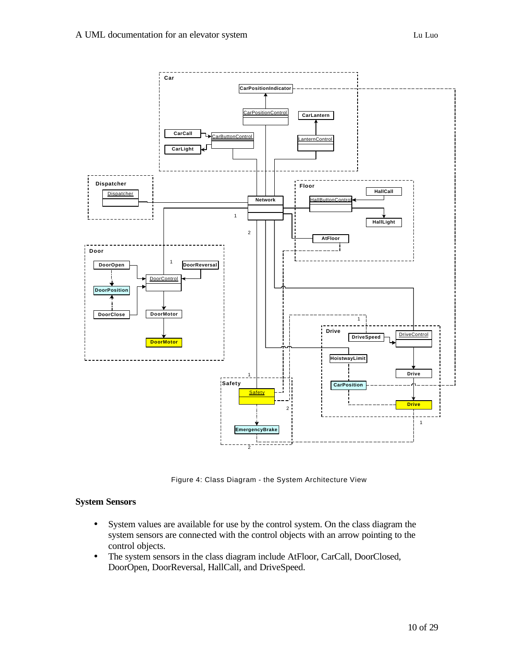

Figure 4: Class Diagram - the System Architecture View

#### **System Sensors**

- System values are available for use by the control system. On the class diagram the system sensors are connected with the control objects with an arrow pointing to the control objects.
- The system sensors in the class diagram include AtFloor, CarCall, DoorClosed, DoorOpen, DoorReversal, HallCall, and DriveSpeed.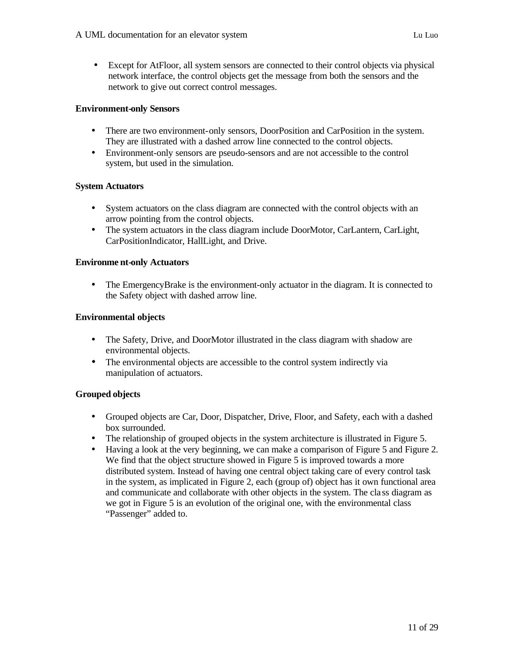• Except for AtFloor, all system sensors are connected to their control objects via physical network interface, the control objects get the message from both the sensors and the network to give out correct control messages.

### **Environment-only Sensors**

- There are two environment-only sensors, DoorPosition and CarPosition in the system. They are illustrated with a dashed arrow line connected to the control objects.
- Environment-only sensors are pseudo-sensors and are not accessible to the control system, but used in the simulation.

### **System Actuators**

- System actuators on the class diagram are connected with the control objects with an arrow pointing from the control objects.
- The system actuators in the class diagram include DoorMotor, CarLantern, CarLight, CarPositionIndicator, HallLight, and Drive.

### **Environme nt-only Actuators**

• The EmergencyBrake is the environment-only actuator in the diagram. It is connected to the Safety object with dashed arrow line.

### **Environmental objects**

- The Safety, Drive, and DoorMotor illustrated in the class diagram with shadow are environmental objects.
- The environmental objects are accessible to the control system indirectly via manipulation of actuators.

## **Grouped objects**

- Grouped objects are Car, Door, Dispatcher, Drive, Floor, and Safety, each with a dashed box surrounded.
- The relationship of grouped objects in the system architecture is illustrated in Figure 5.
- Having a look at the very beginning, we can make a comparison of Figure 5 and Figure 2. We find that the object structure showed in Figure 5 is improved towards a more distributed system. Instead of having one central object taking care of every control task in the system, as implicated in Figure 2, each (group of) object has it own functional area and communicate and collaborate with other objects in the system. The cla ss diagram as we got in Figure 5 is an evolution of the original one, with the environmental class "Passenger" added to.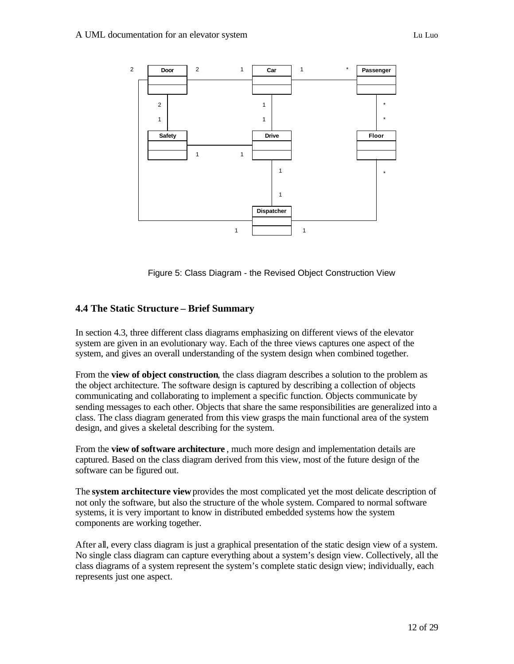

Figure 5: Class Diagram - the Revised Object Construction View

## **4.4 The Static Structure – Brief Summary**

In section 4.3, three different class diagrams emphasizing on different views of the elevator system are given in an evolutionary way. Each of the three views captures one aspect of the system, and gives an overall understanding of the system design when combined together.

From the **view of object construction**, the class diagram describes a solution to the problem as the object architecture. The software design is captured by describing a collection of objects communicating and collaborating to implement a specific function. Objects communicate by sending messages to each other. Objects that share the same responsibilities are generalized into a class. The class diagram generated from this view grasps the main functional area of the system design, and gives a skeletal describing for the system.

From the **view of software architecture** , much more design and implementation details are captured. Based on the class diagram derived from this view, most of the future design of the software can be figured out.

The **system architecture view** provides the most complicated yet the most delicate description of not only the software, but also the structure of the whole system. Compared to normal software systems, it is very important to know in distributed embedded systems how the system components are working together.

After all, every class diagram is just a graphical presentation of the static design view of a system. No single class diagram can capture everything about a system's design view. Collectively, all the class diagrams of a system represent the system's complete static design view; individually, each represents just one aspect.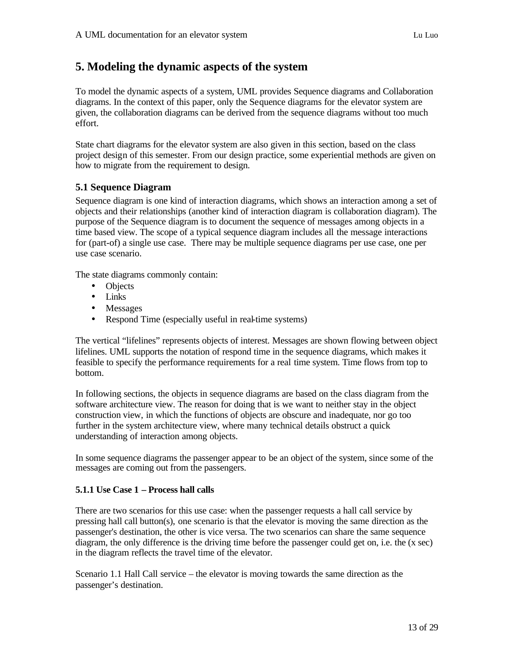## **5. Modeling the dynamic aspects of the system**

To model the dynamic aspects of a system, UML provides Sequence diagrams and Collaboration diagrams. In the context of this paper, only the Sequence diagrams for the elevator system are given, the collaboration diagrams can be derived from the sequence diagrams without too much effort.

State chart diagrams for the elevator system are also given in this section, based on the class project design of this semester. From our design practice, some experiential methods are given on how to migrate from the requirement to design.

## **5.1 Sequence Diagram**

Sequence diagram is one kind of interaction diagrams, which shows an interaction among a set of objects and their relationships (another kind of interaction diagram is collaboration diagram). The purpose of the Sequence diagram is to document the sequence of messages among objects in a time based view. The scope of a typical sequence diagram includes all the message interactions for (part-of) a single use case. There may be multiple sequence diagrams per use case, one per use case scenario.

The state diagrams commonly contain:

- Objects
- Links
- Messages
- Respond Time (especially useful in real-time systems)

The vertical "lifelines" represents objects of interest. Messages are shown flowing between object lifelines. UML supports the notation of respond time in the sequence diagrams, which makes it feasible to specify the performance requirements for a real time system. Time flows from top to bottom.

In following sections, the objects in sequence diagrams are based on the class diagram from the software architecture view. The reason for doing that is we want to neither stay in the object construction view, in which the functions of objects are obscure and inadequate, nor go too further in the system architecture view, where many technical details obstruct a quick understanding of interaction among objects.

In some sequence diagrams the passenger appear to be an object of the system, since some of the messages are coming out from the passengers.

## **5.1.1 Use Case 1 – Process hall calls**

There are two scenarios for this use case: when the passenger requests a hall call service by pressing hall call button(s), one scenario is that the elevator is moving the same direction as the passenger's destination, the other is vice versa. The two scenarios can share the same sequence diagram, the only difference is the driving time before the passenger could get on, i.e. the (x sec) in the diagram reflects the travel time of the elevator.

Scenario 1.1 Hall Call service – the elevator is moving towards the same direction as the passenger's destination.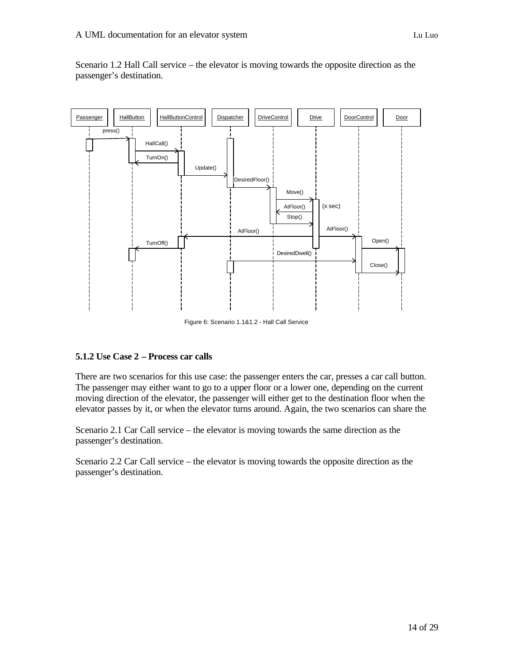

Scenario 1.2 Hall Call service – the elevator is moving towards the opposite direction as the passenger's destination.

Figure 6: Scenario 1.1&1.2 - Hall Call Service

## **5.1.2 Use Case 2 – Process car calls**

There are two scenarios for this use case: the passenger enters the car, presses a car call button. The passenger may either want to go to a upper floor or a lower one, depending on the current moving direction of the elevator, the passenger will either get to the destination floor when the elevator passes by it, or when the elevator turns around. Again, the two scenarios can share the

Scenario 2.1 Car Call service – the elevator is moving towards the same direction as the passenger's destination.

Scenario 2.2 Car Call service – the elevator is moving towards the opposite direction as the passenger's destination.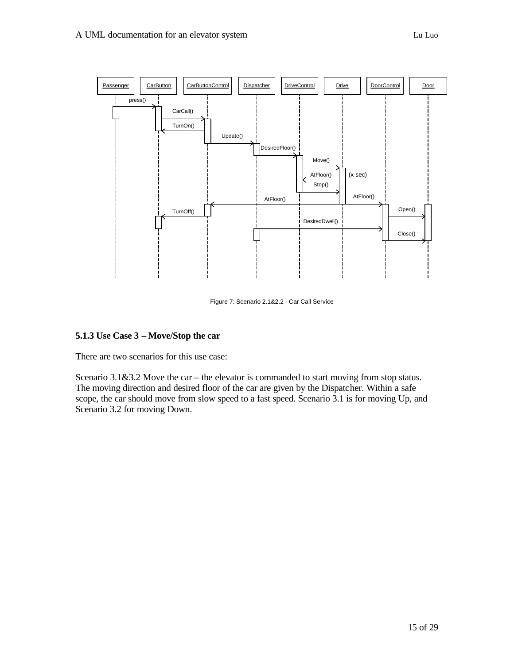

Figure 7: Scenario 2.1&2.2 - Car Call Service

## **5.1.3 Use Case 3 – Move/Stop the car**

There are two scenarios for this use case:

Scenario 3.1&3.2 Move the car – the elevator is commanded to start moving from stop status. The moving direction and desired floor of the car are given by the Dispatcher. Within a safe scope, the car should move from slow speed to a fast speed. Scenario 3.1 is for moving Up, and Scenario 3.2 for moving Down.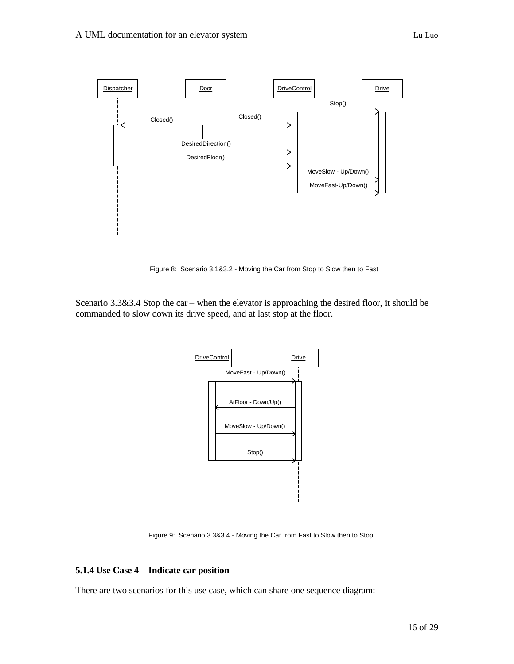

Figure 8: Scenario 3.1&3.2 - Moving the Car from Stop to Slow then to Fast

Scenario 3.3&3.4 Stop the car – when the elevator is approaching the desired floor, it should be commanded to slow down its drive speed, and at last stop at the floor.



Figure 9: Scenario 3.3&3.4 - Moving the Car from Fast to Slow then to Stop

#### **5.1.4 Use Case 4 – Indicate car position**

There are two scenarios for this use case, which can share one sequence diagram: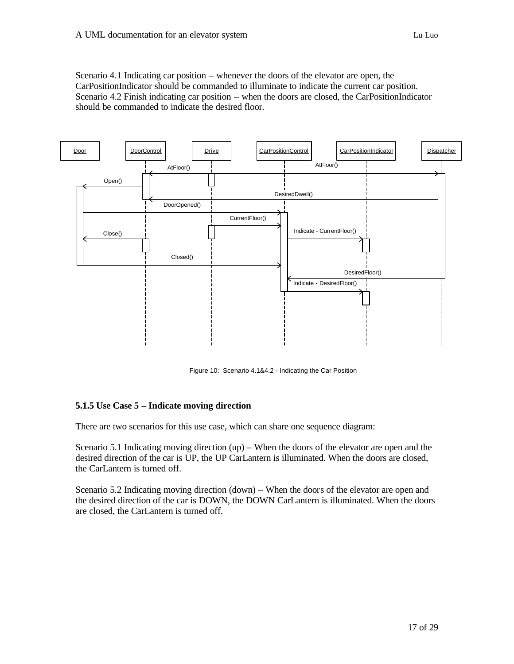Scenario 4.1 Indicating car position – whenever the doors of the elevator are open, the CarPositionIndicator should be commanded to illuminate to indicate the current car position. Scenario 4.2 Finish indicating car position – when the doors are closed, the CarPositionIndicator should be commanded to indicate the desired floor.



Figure 10: Scenario 4.1&4.2 - Indicating the Car Position

## **5.1.5 Use Case 5 – Indicate moving direction**

There are two scenarios for this use case, which can share one sequence diagram:

Scenario 5.1 Indicating moving direction (up) – When the doors of the elevator are open and the desired direction of the car is UP, the UP CarLantern is illuminated. When the doors are closed, the CarLantern is turned off.

Scenario 5.2 Indicating moving direction (down) – When the doors of the elevator are open and the desired direction of the car is DOWN, the DOWN CarLantern is illuminated. When the doors are closed, the CarLantern is turned off.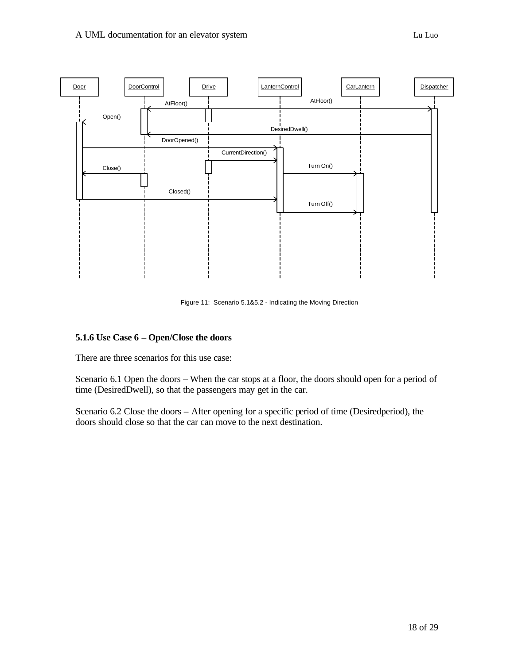

Figure 11: Scenario 5.1&5.2 - Indicating the Moving Direction

## **5.1.6 Use Case 6 – Open/Close the doors**

There are three scenarios for this use case:

Scenario 6.1 Open the doors – When the car stops at a floor, the doors should open for a period of time (DesiredDwell), so that the passengers may get in the car.

Scenario 6.2 Close the doors – After opening for a specific period of time (Desiredperiod), the doors should close so that the car can move to the next destination.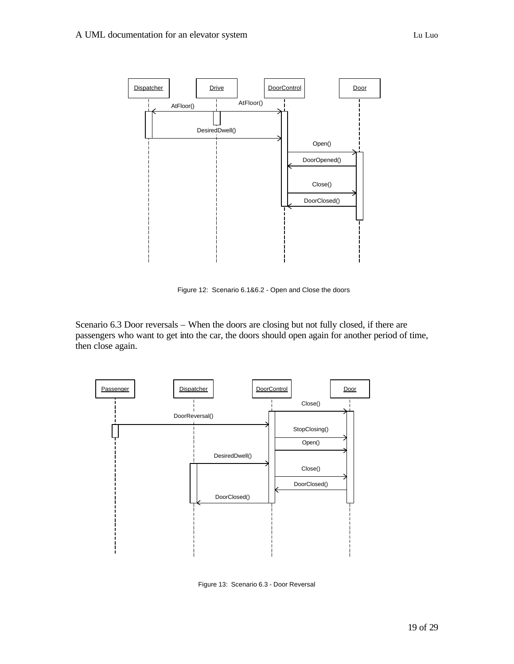

Figure 12: Scenario 6.1&6.2 - Open and Close the doors

Scenario 6.3 Door reversals – When the doors are closing but not fully closed, if there are passengers who want to get into the car, the doors should open again for another period of time, then close again.



Figure 13: Scenario 6.3 - Door Reversal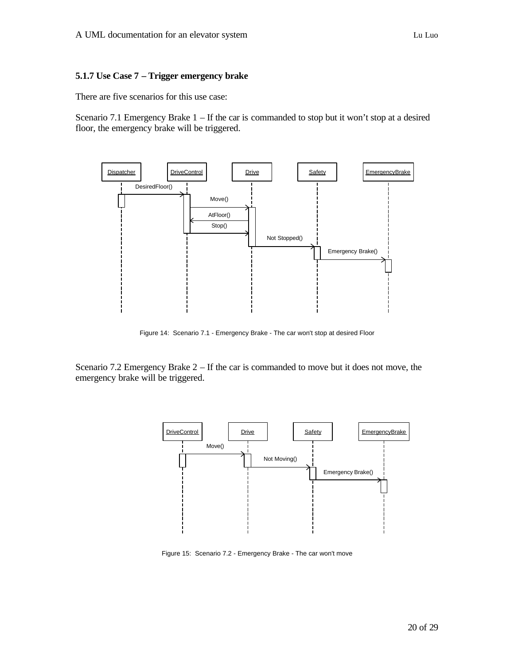#### **5.1.7 Use Case 7 – Trigger emergency brake**

There are five scenarios for this use case:

Scenario 7.1 Emergency Brake 1 – If the car is commanded to stop but it won't stop at a desired floor, the emergency brake will be triggered.



Figure 14: Scenario 7.1 - Emergency Brake - The car won't stop at desired Floor

Scenario 7.2 Emergency Brake 2 – If the car is commanded to move but it does not move, the emergency brake will be triggered.



Figure 15: Scenario 7.2 - Emergency Brake - The car won't move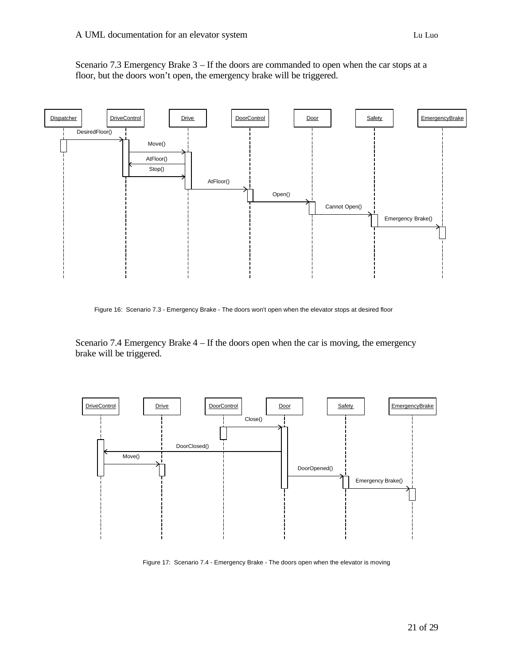Scenario 7.3 Emergency Brake 3 – If the doors are commanded to open when the car stops at a floor, but the doors won't open, the emergency brake will be triggered.



Figure 16: Scenario 7.3 - Emergency Brake - The doors won't open when the elevator stops at desired floor

Scenario 7.4 Emergency Brake 4 – If the doors open when the car is moving, the emergency brake will be triggered.



Figure 17: Scenario 7.4 - Emergency Brake - The doors open when the elevator is moving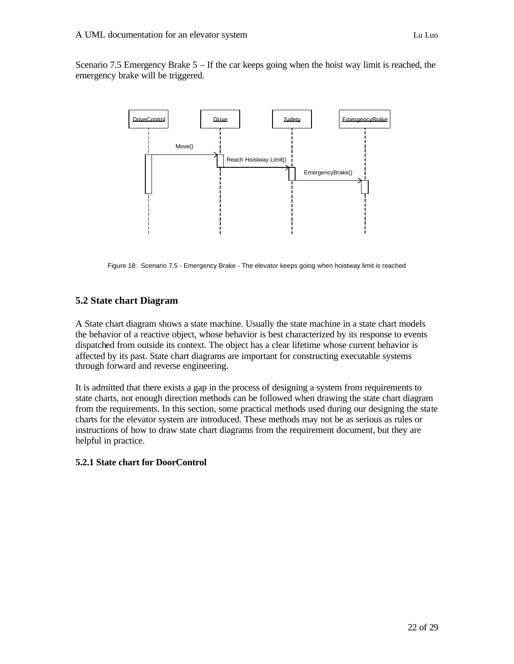Scenario 7.5 Emergency Brake 5 – If the car keeps going when the hoist way limit is reached, the emergency brake will be triggered.



Figure 18: Scenario 7.5 - Emergency Brake - The elevator keeps going when hoistway limit is reached

## **5.2 State chart Diagram**

A State chart diagram shows a state machine. Usually the state machine in a state chart models the behavior of a reactive object, whose behavior is best characterized by its response to events dispatched from outside its context. The object has a clear lifetime whose current behavior is affected by its past. State chart diagrams are important for constructing executable systems through forward and reverse engineering.

It is admitted that there exists a gap in the process of designing a system from requirements to state charts, not enough direction methods can be followed when drawing the state chart diagram from the requirements. In this section, some practical methods used during our designing the state charts for the elevator system are introduced. These methods may not be as serious as rules or instructions of how to draw state chart diagrams from the requirement document, but they are helpful in practice.

#### **5.2.1 State chart for DoorControl**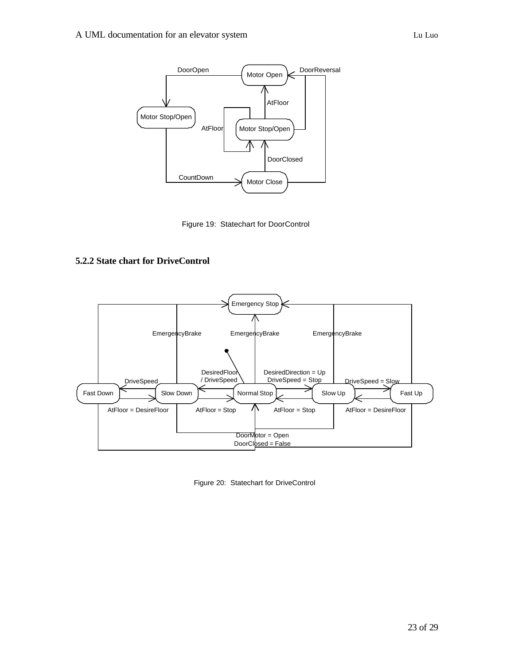

Figure 19: Statechart for DoorControl

## **5.2.2 State chart for DriveControl**



Figure 20: Statechart for DriveControl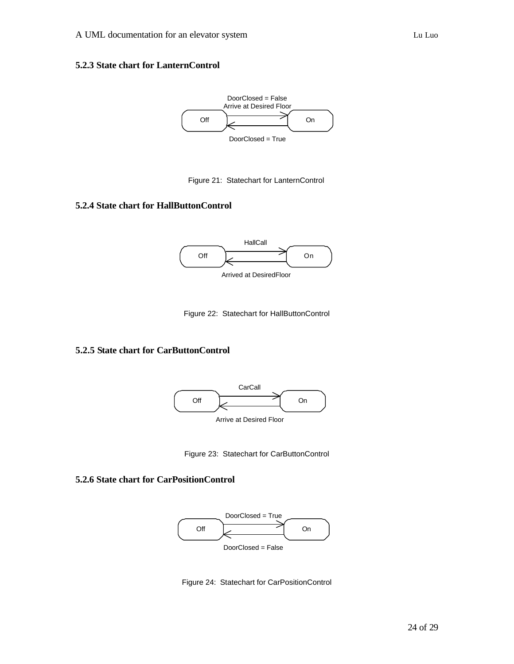#### **5.2.3 State chart for LanternControl**



Figure 21: Statechart for LanternControl

## **5.2.4 State chart for HallButtonControl**



Figure 22: Statechart for HallButtonControl

## **5.2.5 State chart for CarButtonControl**



Figure 23: Statechart for CarButtonControl

### **5.2.6 State chart for CarPositionControl**



Figure 24: Statechart for CarPositionControl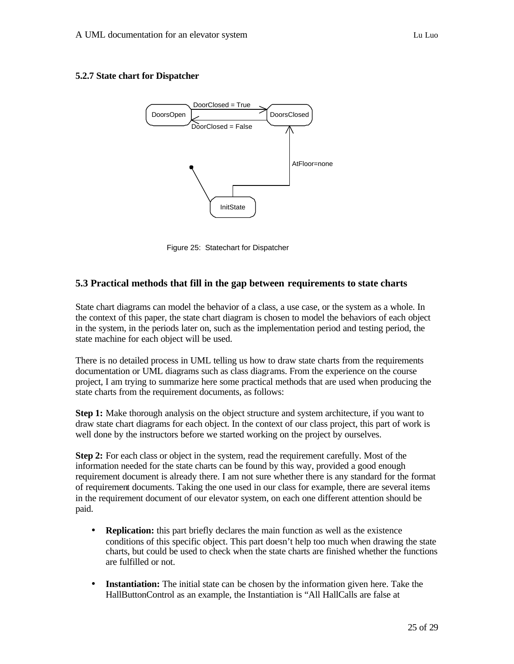### **5.2.7 State chart for Dispatcher**



Figure 25: Statechart for Dispatcher

## **5.3 Practical methods that fill in the gap between requirements to state charts**

State chart diagrams can model the behavior of a class, a use case, or the system as a whole. In the context of this paper, the state chart diagram is chosen to model the behaviors of each object in the system, in the periods later on, such as the implementation period and testing period, the state machine for each object will be used.

There is no detailed process in UML telling us how to draw state charts from the requirements documentation or UML diagrams such as class diagrams. From the experience on the course project, I am trying to summarize here some practical methods that are used when producing the state charts from the requirement documents, as follows:

**Step 1:** Make thorough analysis on the object structure and system architecture, if you want to draw state chart diagrams for each object. In the context of our class project, this part of work is well done by the instructors before we started working on the project by ourselves.

**Step 2:** For each class or object in the system, read the requirement carefully. Most of the information needed for the state charts can be found by this way, provided a good enough requirement document is already there. I am not sure whether there is any standard for the format of requirement documents. Taking the one used in our class for example, there are several items in the requirement document of our elevator system, on each one different attention should be paid.

- **Replication:** this part briefly declares the main function as well as the existence conditions of this specific object. This part doesn't help too much when drawing the state charts, but could be used to check when the state charts are finished whether the functions are fulfilled or not.
- **Instantiation:** The initial state can be chosen by the information given here. Take the HallButtonControl as an example, the Instantiation is "All HallCalls are false at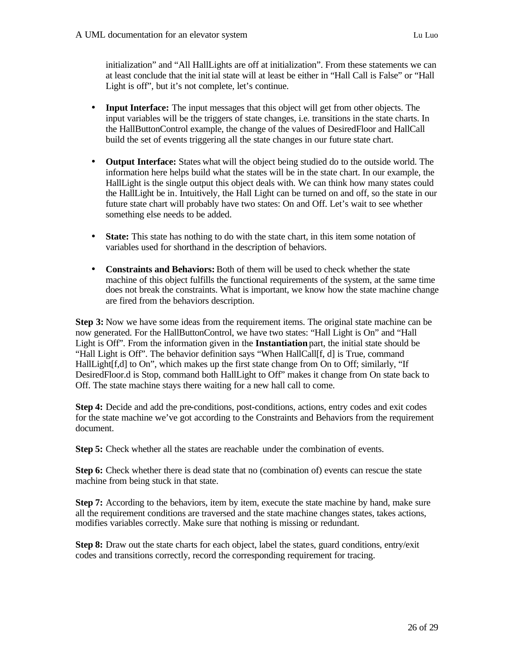initialization" and "All HallLights are off at initialization". From these statements we can at least conclude that the initial state will at least be either in "Hall Call is False" or "Hall Light is off", but it's not complete, let's continue.

- **Input Interface:** The input messages that this object will get from other objects. The input variables will be the triggers of state changes, i.e. transitions in the state charts. In the HallButtonControl example, the change of the values of DesiredFloor and HallCall build the set of events triggering all the state changes in our future state chart.
- **Output Interface:** States what will the object being studied do to the outside world. The information here helps build what the states will be in the state chart. In our example, the HallLight is the single output this object deals with. We can think how many states could the HallLight be in. Intuitively, the Hall Light can be turned on and off, so the state in our future state chart will probably have two states: On and Off. Let's wait to see whether something else needs to be added.
- **State:** This state has nothing to do with the state chart, in this item some notation of variables used for shorthand in the description of behaviors.
- **Constraints and Behaviors:** Both of them will be used to check whether the state machine of this object fulfills the functional requirements of the system, at the same time does not break the constraints. What is important, we know how the state machine change are fired from the behaviors description.

**Step 3:** Now we have some ideas from the requirement items. The original state machine can be now generated. For the HallButtonControl, we have two states: "Hall Light is On" and "Hall Light is Off". From the information given in the **Instantiation** part, the initial state should be "Hall Light is Off". The behavior definition says "When HallCall[f, d] is True, command HallLight[f,d] to On", which makes up the first state change from On to Off; similarly, "If DesiredFloor.d is Stop, command both HallLight to Off" makes it change from On state back to Off. The state machine stays there waiting for a new hall call to come.

**Step 4:** Decide and add the pre-conditions, post-conditions, actions, entry codes and exit codes for the state machine we've got according to the Constraints and Behaviors from the requirement document.

**Step 5:** Check whether all the states are reachable under the combination of events.

**Step 6:** Check whether there is dead state that no (combination of) events can rescue the state machine from being stuck in that state.

**Step 7:** According to the behaviors, item by item, execute the state machine by hand, make sure all the requirement conditions are traversed and the state machine changes states, takes actions, modifies variables correctly. Make sure that nothing is missing or redundant.

**Step 8:** Draw out the state charts for each object, label the states, guard conditions, entry/exit codes and transitions correctly, record the corresponding requirement for tracing.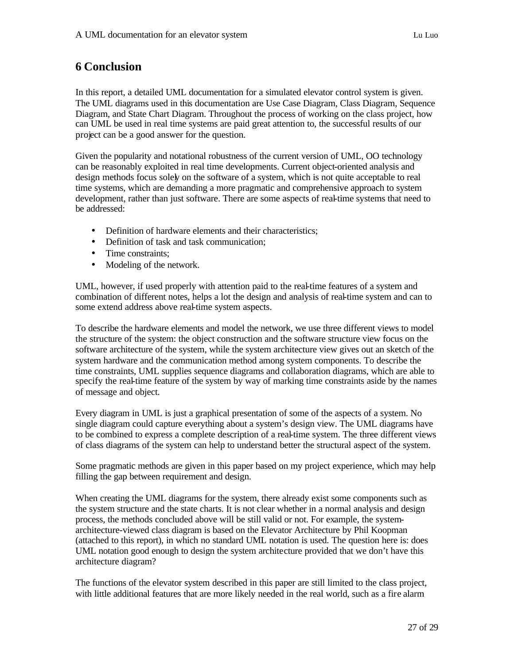## **6 Conclusion**

In this report, a detailed UML documentation for a simulated elevator control system is given. The UML diagrams used in this documentation are Use Case Diagram, Class Diagram, Sequence Diagram, and State Chart Diagram. Throughout the process of working on the class project, how can UML be used in real time systems are paid great attention to, the successful results of our project can be a good answer for the question.

Given the popularity and notational robustness of the current version of UML, OO technology can be reasonably exploited in real time developments. Current object-oriented analysis and design methods focus solely on the software of a system, which is not quite acceptable to real time systems, which are demanding a more pragmatic and comprehensive approach to system development, rather than just software. There are some aspects of real-time systems that need to be addressed:

- Definition of hardware elements and their characteristics;
- Definition of task and task communication;
- Time constraints:
- Modeling of the network.

UML, however, if used properly with attention paid to the real-time features of a system and combination of different notes, helps a lot the design and analysis of real-time system and can to some extend address above real-time system aspects.

To describe the hardware elements and model the network, we use three different views to model the structure of the system: the object construction and the software structure view focus on the software architecture of the system, while the system architecture view gives out an sketch of the system hardware and the communication method among system components. To describe the time constraints, UML supplies sequence diagrams and collaboration diagrams, which are able to specify the real-time feature of the system by way of marking time constraints aside by the names of message and object.

Every diagram in UML is just a graphical presentation of some of the aspects of a system. No single diagram could capture everything about a system's design view. The UML diagrams have to be combined to express a complete description of a real-time system. The three different views of class diagrams of the system can help to understand better the structural aspect of the system.

Some pragmatic methods are given in this paper based on my project experience, which may help filling the gap between requirement and design.

When creating the UML diagrams for the system, there already exist some components such as the system structure and the state charts. It is not clear whether in a normal analysis and design process, the methods concluded above will be still valid or not. For example, the systemarchitecture-viewed class diagram is based on the Elevator Architecture by Phil Koopman (attached to this report), in which no standard UML notation is used. The question here is: does UML notation good enough to design the system architecture provided that we don't have this architecture diagram?

The functions of the elevator system described in this paper are still limited to the class project, with little additional features that are more likely needed in the real world, such as a fire alarm